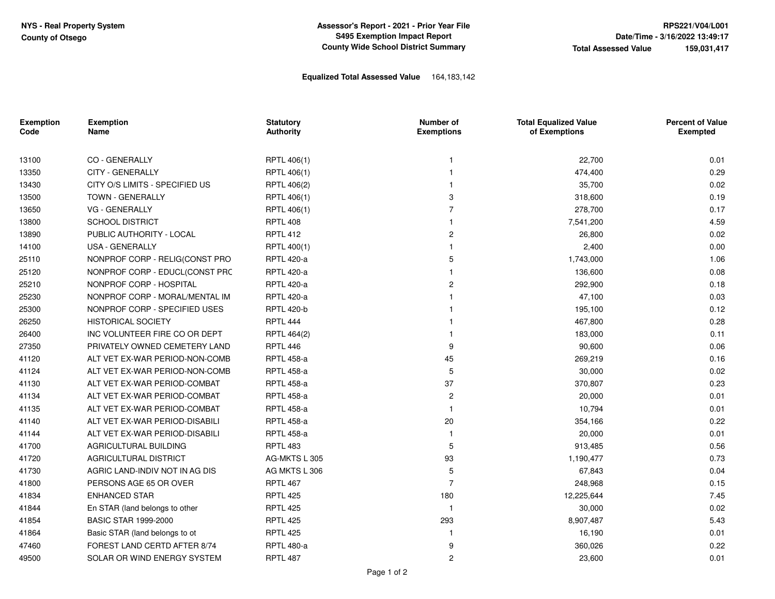**Assessor's Report - 2021 - Prior Year FileS495 Exemption Impact ReportCounty Wide School District Summary**

## **Equalized Total Assessed Value** 164,183,142

| <b>Exemption</b><br>Code | <b>Exemption</b><br>Name       | <b>Statutory</b><br><b>Authority</b> | Number of<br><b>Exemptions</b> | <b>Total Equalized Value</b><br>of Exemptions | <b>Percent of Value</b><br><b>Exempted</b> |
|--------------------------|--------------------------------|--------------------------------------|--------------------------------|-----------------------------------------------|--------------------------------------------|
| 13100                    | CO - GENERALLY                 | RPTL 406(1)                          | -1                             | 22,700                                        | 0.01                                       |
| 13350                    | <b>CITY - GENERALLY</b>        | RPTL 406(1)                          | 1                              | 474,400                                       | 0.29                                       |
| 13430                    | CITY O/S LIMITS - SPECIFIED US | RPTL 406(2)                          | -1                             | 35,700                                        | 0.02                                       |
|                          | TOWN - GENERALLY               | RPTL 406(1)                          | 3                              |                                               | 0.19                                       |
| 13500                    | <b>VG - GENERALLY</b>          |                                      | $\overline{7}$                 | 318,600                                       | 0.17                                       |
| 13650                    |                                | RPTL 406(1)                          | $\mathbf{1}$                   | 278,700                                       | 4.59                                       |
| 13800                    | <b>SCHOOL DISTRICT</b>         | <b>RPTL 408</b>                      |                                | 7,541,200                                     |                                            |
| 13890                    | PUBLIC AUTHORITY - LOCAL       | <b>RPTL 412</b>                      | $\overline{c}$                 | 26,800                                        | 0.02                                       |
| 14100                    | USA - GENERALLY                | RPTL 400(1)                          | $\mathbf{1}$                   | 2,400                                         | 0.00                                       |
| 25110                    | NONPROF CORP - RELIG(CONST PRO | <b>RPTL 420-a</b>                    | 5                              | 1,743,000                                     | 1.06                                       |
| 25120                    | NONPROF CORP - EDUCL(CONST PRC | <b>RPTL 420-a</b>                    | $\overline{1}$                 | 136,600                                       | 0.08                                       |
| 25210                    | NONPROF CORP - HOSPITAL        | <b>RPTL 420-a</b>                    | $\overline{2}$                 | 292,900                                       | 0.18                                       |
| 25230                    | NONPROF CORP - MORAL/MENTAL IM | <b>RPTL 420-a</b>                    | $\mathbf{1}$                   | 47,100                                        | 0.03                                       |
| 25300                    | NONPROF CORP - SPECIFIED USES  | <b>RPTL 420-b</b>                    | -1                             | 195,100                                       | 0.12                                       |
| 26250                    | <b>HISTORICAL SOCIETY</b>      | <b>RPTL 444</b>                      | -1                             | 467,800                                       | 0.28                                       |
| 26400                    | INC VOLUNTEER FIRE CO OR DEPT  | RPTL 464(2)                          | -1                             | 183,000                                       | 0.11                                       |
| 27350                    | PRIVATELY OWNED CEMETERY LAND  | <b>RPTL 446</b>                      | 9                              | 90,600                                        | 0.06                                       |
| 41120                    | ALT VET EX-WAR PERIOD-NON-COMB | <b>RPTL 458-a</b>                    | 45                             | 269,219                                       | 0.16                                       |
| 41124                    | ALT VET EX-WAR PERIOD-NON-COMB | <b>RPTL 458-a</b>                    | 5                              | 30,000                                        | 0.02                                       |
| 41130                    | ALT VET EX-WAR PERIOD-COMBAT   | <b>RPTL 458-a</b>                    | 37                             | 370,807                                       | 0.23                                       |
| 41134                    | ALT VET EX-WAR PERIOD-COMBAT   | <b>RPTL 458-a</b>                    | $\overline{c}$                 | 20,000                                        | 0.01                                       |
| 41135                    | ALT VET EX-WAR PERIOD-COMBAT   | <b>RPTL 458-a</b>                    | $\mathbf{1}$                   | 10,794                                        | 0.01                                       |
| 41140                    | ALT VET EX-WAR PERIOD-DISABILI | <b>RPTL 458-a</b>                    | 20                             | 354,166                                       | 0.22                                       |
| 41144                    | ALT VET EX-WAR PERIOD-DISABILI | <b>RPTL 458-a</b>                    | $\mathbf{1}$                   | 20,000                                        | 0.01                                       |
| 41700                    | AGRICULTURAL BUILDING          | <b>RPTL 483</b>                      | 5                              | 913,485                                       | 0.56                                       |
| 41720                    | AGRICULTURAL DISTRICT          | AG-MKTS L 305                        | 93                             | 1,190,477                                     | 0.73                                       |
| 41730                    | AGRIC LAND-INDIV NOT IN AG DIS | AG MKTS L 306                        | 5                              | 67,843                                        | 0.04                                       |
| 41800                    | PERSONS AGE 65 OR OVER         | <b>RPTL 467</b>                      | $\overline{7}$                 | 248,968                                       | 0.15                                       |
| 41834                    | <b>ENHANCED STAR</b>           | <b>RPTL 425</b>                      | 180                            | 12,225,644                                    | 7.45                                       |
| 41844                    | En STAR (land belongs to other | <b>RPTL 425</b>                      | $\mathbf{1}$                   | 30,000                                        | 0.02                                       |
| 41854                    | <b>BASIC STAR 1999-2000</b>    | <b>RPTL 425</b>                      | 293                            | 8,907,487                                     | 5.43                                       |
| 41864                    | Basic STAR (land belongs to ot | <b>RPTL 425</b>                      | -1                             | 16,190                                        | 0.01                                       |
| 47460                    | FOREST LAND CERTD AFTER 8/74   | <b>RPTL 480-a</b>                    | 9                              | 360,026                                       | 0.22                                       |
| 49500                    | SOLAR OR WIND ENERGY SYSTEM    | <b>RPTL 487</b>                      | $\overline{c}$                 | 23,600                                        | 0.01                                       |
|                          |                                |                                      |                                |                                               |                                            |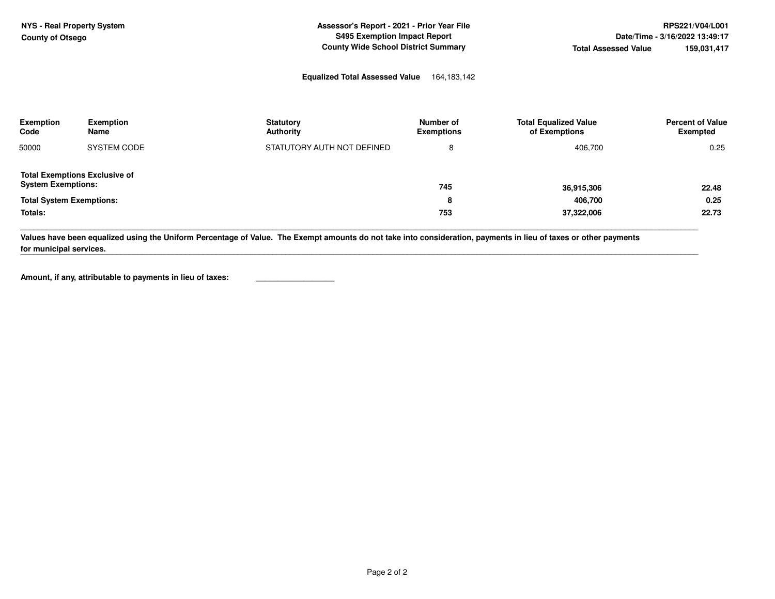**Assessor's Report - 2021 - Prior Year FileS495 Exemption Impact ReportCounty Wide School District Summary**

# **Equalized Total Assessed Value** 164,183,142

| <b>Exemption</b><br>Code                                          | <b>Exemption</b><br>Name                                   | <b>Statutory</b><br><b>Authority</b>                                                                                                                             | Number of<br><b>Exemptions</b> | <b>Total Equalized Value</b><br>of Exemptions | <b>Percent of Value</b><br>Exempted |
|-------------------------------------------------------------------|------------------------------------------------------------|------------------------------------------------------------------------------------------------------------------------------------------------------------------|--------------------------------|-----------------------------------------------|-------------------------------------|
| 50000                                                             | SYSTEM CODE                                                | STATUTORY AUTH NOT DEFINED                                                                                                                                       | 8                              | 406,700                                       | 0.25                                |
| <b>Total Exemptions Exclusive of</b><br><b>System Exemptions:</b> |                                                            |                                                                                                                                                                  | 745                            | 36,915,306                                    | 22.48                               |
| <b>Total System Exemptions:</b>                                   |                                                            |                                                                                                                                                                  | 8                              | 406,700                                       | 0.25                                |
| Totals:                                                           |                                                            |                                                                                                                                                                  | 753                            | 37,322,006                                    | 22.73                               |
| for municipal services.                                           |                                                            | Values have been equalized using the Uniform Percentage of Value. The Exempt amounts do not take into consideration, payments in lieu of taxes or other payments |                                |                                               |                                     |
|                                                                   | Amount, if any, attributable to payments in lieu of taxes: |                                                                                                                                                                  |                                |                                               |                                     |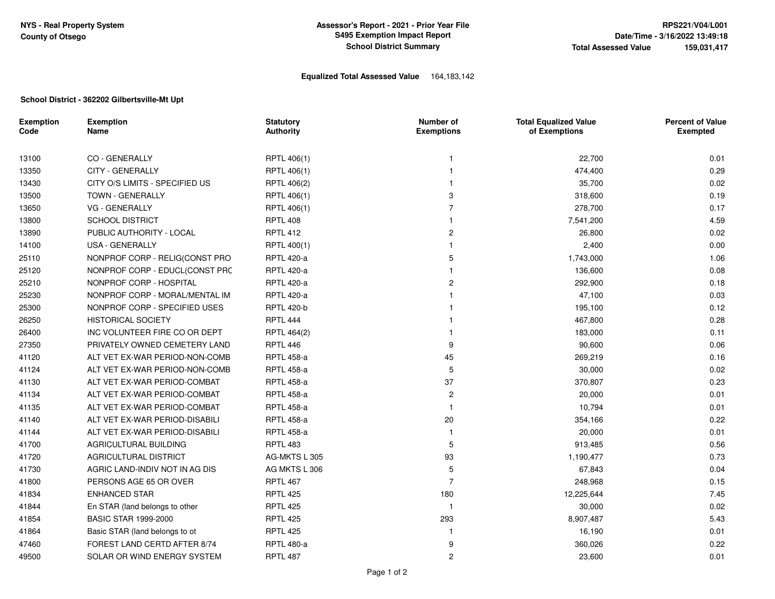## **Equalized Total Assessed Value** 164,183,142

#### **School District - 362202 Gilbertsville-Mt Upt**

| <b>Exemption</b><br>Code | <b>Exemption</b><br>Name       | <b>Statutory</b><br><b>Authority</b> | Number of<br><b>Exemptions</b> | <b>Total Equalized Value</b><br>of Exemptions | <b>Percent of Value</b><br><b>Exempted</b> |
|--------------------------|--------------------------------|--------------------------------------|--------------------------------|-----------------------------------------------|--------------------------------------------|
| 13100                    | CO - GENERALLY                 | RPTL 406(1)                          | 1                              | 22,700                                        | 0.01                                       |
| 13350                    | <b>CITY - GENERALLY</b>        | RPTL 406(1)                          |                                | 474,400                                       | 0.29                                       |
| 13430                    | CITY O/S LIMITS - SPECIFIED US | RPTL 406(2)                          |                                | 35,700                                        | 0.02                                       |
| 13500                    | <b>TOWN - GENERALLY</b>        | RPTL 406(1)                          | 3                              | 318,600                                       | 0.19                                       |
| 13650                    | <b>VG - GENERALLY</b>          | RPTL 406(1)                          | $\overline{7}$                 | 278,700                                       | 0.17                                       |
| 13800                    | <b>SCHOOL DISTRICT</b>         | <b>RPTL 408</b>                      |                                | 7,541,200                                     | 4.59                                       |
| 13890                    | PUBLIC AUTHORITY - LOCAL       | <b>RPTL 412</b>                      | 2                              | 26,800                                        | 0.02                                       |
| 14100                    | USA - GENERALLY                | RPTL 400(1)                          |                                | 2,400                                         | 0.00                                       |
| 25110                    | NONPROF CORP - RELIG(CONST PRO | <b>RPTL 420-a</b>                    | 5                              | 1,743,000                                     | 1.06                                       |
| 25120                    | NONPROF CORP - EDUCL(CONST PRC | <b>RPTL 420-a</b>                    |                                | 136,600                                       | 0.08                                       |
| 25210                    | NONPROF CORP - HOSPITAL        | <b>RPTL 420-a</b>                    | 2                              | 292,900                                       | 0.18                                       |
| 25230                    | NONPROF CORP - MORAL/MENTAL IM | <b>RPTL 420-a</b>                    |                                | 47,100                                        | 0.03                                       |
| 25300                    | NONPROF CORP - SPECIFIED USES  | <b>RPTL 420-b</b>                    |                                | 195,100                                       | 0.12                                       |
| 26250                    | <b>HISTORICAL SOCIETY</b>      | <b>RPTL 444</b>                      |                                | 467,800                                       | 0.28                                       |
| 26400                    | INC VOLUNTEER FIRE CO OR DEPT  | RPTL 464(2)                          |                                | 183,000                                       | 0.11                                       |
| 27350                    | PRIVATELY OWNED CEMETERY LAND  | <b>RPTL 446</b>                      | 9                              | 90,600                                        | 0.06                                       |
| 41120                    | ALT VET EX-WAR PERIOD-NON-COMB | <b>RPTL 458-a</b>                    | 45                             | 269,219                                       | 0.16                                       |
| 41124                    | ALT VET EX-WAR PERIOD-NON-COMB | <b>RPTL 458-a</b>                    | 5                              | 30,000                                        | 0.02                                       |
| 41130                    | ALT VET EX-WAR PERIOD-COMBAT   | <b>RPTL 458-a</b>                    | 37                             | 370,807                                       | 0.23                                       |
| 41134                    | ALT VET EX-WAR PERIOD-COMBAT   | <b>RPTL 458-a</b>                    | 2                              | 20,000                                        | 0.01                                       |
| 41135                    | ALT VET EX-WAR PERIOD-COMBAT   | <b>RPTL 458-a</b>                    | $\mathbf{1}$                   | 10,794                                        | 0.01                                       |
| 41140                    | ALT VET EX-WAR PERIOD-DISABILI | <b>RPTL 458-a</b>                    | 20                             | 354,166                                       | 0.22                                       |
| 41144                    | ALT VET EX-WAR PERIOD-DISABILI | <b>RPTL 458-a</b>                    | 1                              | 20,000                                        | 0.01                                       |
| 41700                    | AGRICULTURAL BUILDING          | <b>RPTL 483</b>                      | 5                              | 913,485                                       | 0.56                                       |
| 41720                    | AGRICULTURAL DISTRICT          | AG-MKTS L 305                        | 93                             | 1,190,477                                     | 0.73                                       |
| 41730                    | AGRIC LAND-INDIV NOT IN AG DIS | AG MKTS L 306                        | 5                              | 67,843                                        | 0.04                                       |
| 41800                    | PERSONS AGE 65 OR OVER         | <b>RPTL 467</b>                      | $\overline{7}$                 | 248,968                                       | 0.15                                       |
| 41834                    | <b>ENHANCED STAR</b>           | <b>RPTL 425</b>                      | 180                            | 12,225,644                                    | 7.45                                       |
| 41844                    | En STAR (land belongs to other | <b>RPTL 425</b>                      | $\overline{1}$                 | 30,000                                        | 0.02                                       |
| 41854                    | <b>BASIC STAR 1999-2000</b>    | <b>RPTL 425</b>                      | 293                            | 8,907,487                                     | 5.43                                       |
| 41864                    | Basic STAR (land belongs to ot | <b>RPTL 425</b>                      |                                | 16,190                                        | 0.01                                       |
| 47460                    | FOREST LAND CERTD AFTER 8/74   | <b>RPTL 480-a</b>                    | 9                              | 360,026                                       | 0.22                                       |
| 49500                    | SOLAR OR WIND ENERGY SYSTEM    | <b>RPTL 487</b>                      | $\overline{c}$                 | 23,600                                        | 0.01                                       |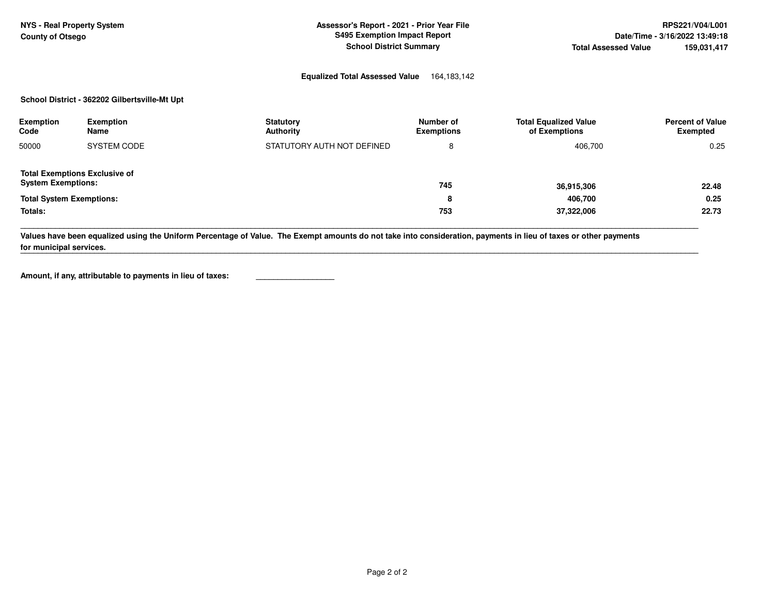**NYS - Real Property System Assessor's Report - 2021 - Prior Year File Assessor's Report - 2021 - Prior Year File County of Otsego S495 Exemption Impact Report Date/Time - 3/16/2022 13:49:18** 

#### **Equalized Total Assessed Value** 164,183,142

#### **School District - 362202 Gilbertsville-Mt Upt**

| Exemption<br>Code                                                 | <b>Exemption</b><br>Name | <b>Statutory</b><br>Authority | Number of<br><b>Exemptions</b> | <b>Total Equalized Value</b><br>of Exemptions | <b>Percent of Value</b><br><b>Exempted</b> |
|-------------------------------------------------------------------|--------------------------|-------------------------------|--------------------------------|-----------------------------------------------|--------------------------------------------|
| 50000                                                             | SYSTEM CODE              | STATUTORY AUTH NOT DEFINED    | 8                              | 406,700                                       | 0.25                                       |
| <b>Total Exemptions Exclusive of</b><br><b>System Exemptions:</b> |                          |                               | 745                            | 36,915,306                                    | 22.48                                      |
| <b>Total System Exemptions:</b>                                   |                          |                               | o<br>õ                         | 406,700                                       | 0.25                                       |
| Totals:                                                           |                          |                               | 753                            | 37,322,006                                    | 22.73                                      |

**\_\_\_\_\_\_\_\_\_\_\_\_\_\_\_\_\_\_\_\_\_\_\_\_\_\_\_\_\_\_\_\_\_\_\_\_\_\_\_\_\_\_\_\_\_\_\_\_\_\_\_\_\_\_\_\_\_\_\_\_\_\_\_\_\_\_\_\_\_\_\_\_\_\_\_\_\_\_\_\_\_\_\_\_\_\_\_\_\_\_\_\_\_\_\_\_\_\_\_\_\_\_\_\_\_\_\_\_\_\_\_\_\_\_\_\_\_\_\_\_\_\_\_\_\_\_\_\_\_\_\_\_\_\_\_\_\_\_\_\_\_\_\_\_\_\_\_\_\_\_\_\_\_\_\_\_** 

**\_\_\_\_\_\_\_\_\_\_\_\_\_\_\_\_\_\_\_\_\_\_\_\_\_\_\_\_\_\_\_\_\_\_\_\_\_\_\_\_\_\_\_\_\_\_\_\_\_\_\_\_\_\_\_\_\_\_\_\_\_\_\_\_\_\_\_\_\_\_\_\_\_\_\_\_\_\_\_\_\_\_\_\_\_\_\_\_\_\_\_\_\_\_\_\_\_\_\_\_\_\_\_\_\_\_\_\_\_\_\_\_\_\_\_\_\_\_\_\_\_\_\_\_\_\_\_\_\_\_\_\_\_\_\_\_\_\_\_\_\_\_\_\_\_\_\_\_\_\_\_\_\_\_\_\_** 

**Values have been equalized using the Uniform Percentage of Value. The Exempt amounts do not take into consideration, payments in lieu of taxes or other payments for municipal services.**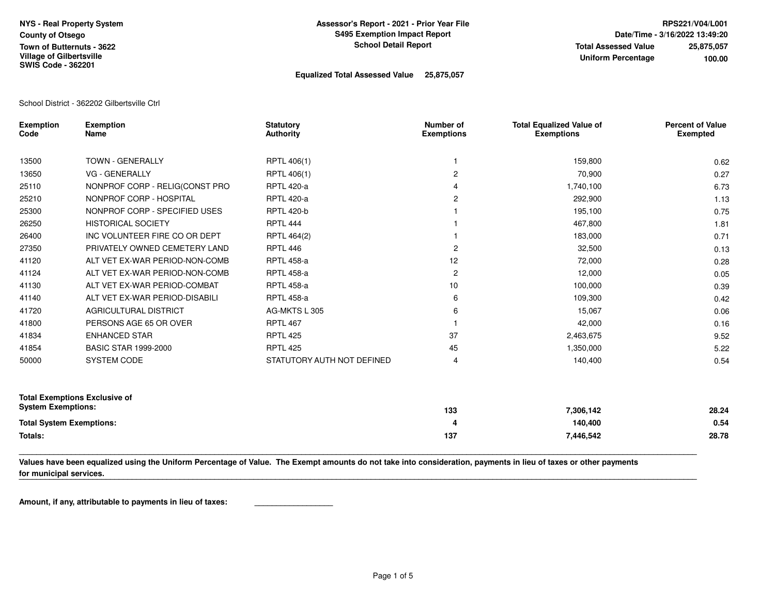### **Equalized Total Assessed Value 25,875,057**

School District - 362202 Gilbertsville Ctrl

| <b>Exemption</b><br>Code        | <b>Exemption</b><br>Name             | <b>Statutory</b><br><b>Authority</b> | Number of<br><b>Exemptions</b> | <b>Total Equalized Value of</b><br><b>Exemptions</b> | <b>Percent of Value</b><br><b>Exempted</b> |
|---------------------------------|--------------------------------------|--------------------------------------|--------------------------------|------------------------------------------------------|--------------------------------------------|
| 13500                           | <b>TOWN - GENERALLY</b>              | RPTL 406(1)                          |                                | 159,800                                              | 0.62                                       |
| 13650                           | <b>VG - GENERALLY</b>                | RPTL 406(1)                          | $\overline{c}$                 | 70,900                                               | 0.27                                       |
| 25110                           | NONPROF CORP - RELIG(CONST PRO       | <b>RPTL 420-a</b>                    | 4                              | 1,740,100                                            | 6.73                                       |
| 25210                           | NONPROF CORP - HOSPITAL              | <b>RPTL 420-a</b>                    | $\mathbf{2}$                   | 292,900                                              | 1.13                                       |
| 25300                           | NONPROF CORP - SPECIFIED USES        | <b>RPTL 420-b</b>                    |                                | 195,100                                              | 0.75                                       |
| 26250                           | <b>HISTORICAL SOCIETY</b>            | RPTL 444                             |                                | 467,800                                              | 1.81                                       |
| 26400                           | INC VOLUNTEER FIRE CO OR DEPT        | RPTL 464(2)                          |                                | 183,000                                              | 0.71                                       |
| 27350                           | PRIVATELY OWNED CEMETERY LAND        | <b>RPTL 446</b>                      | $\overline{c}$                 | 32,500                                               | 0.13                                       |
| 41120                           | ALT VET EX-WAR PERIOD-NON-COMB       | <b>RPTL 458-a</b>                    | 12                             | 72,000                                               | 0.28                                       |
| 41124                           | ALT VET EX-WAR PERIOD-NON-COMB       | <b>RPTL 458-a</b>                    | $\mathbf{2}$                   | 12,000                                               | 0.05                                       |
| 41130                           | ALT VET EX-WAR PERIOD-COMBAT         | <b>RPTL 458-a</b>                    | 10                             | 100,000                                              | 0.39                                       |
| 41140                           | ALT VET EX-WAR PERIOD-DISABILI       | <b>RPTL 458-a</b>                    | 6                              | 109,300                                              | 0.42                                       |
| 41720                           | AGRICULTURAL DISTRICT                | AG-MKTS L 305                        | 6                              | 15,067                                               | 0.06                                       |
| 41800                           | PERSONS AGE 65 OR OVER               | <b>RPTL 467</b>                      |                                | 42,000                                               | 0.16                                       |
| 41834                           | <b>ENHANCED STAR</b>                 | <b>RPTL 425</b>                      | 37                             | 2,463,675                                            | 9.52                                       |
| 41854                           | <b>BASIC STAR 1999-2000</b>          | <b>RPTL 425</b>                      | 45                             | 1,350,000                                            | 5.22                                       |
| 50000                           | SYSTEM CODE                          | STATUTORY AUTH NOT DEFINED           | 4                              | 140,400                                              | 0.54                                       |
| <b>System Exemptions:</b>       | <b>Total Exemptions Exclusive of</b> |                                      | 133                            | 7,306,142                                            | 28.24                                      |
| <b>Total System Exemptions:</b> |                                      |                                      | 4                              | 140,400                                              | 0.54                                       |
| Totals:                         |                                      |                                      | 137                            | 7,446,542                                            | 28.78                                      |

**Values have been equalized using the Uniform Percentage of Value. The Exempt amounts do not take into consideration, payments in lieu of taxes or other payments for municipal services.** 

**\_\_\_\_\_\_\_\_\_\_\_\_\_\_\_\_\_\_\_\_\_\_\_\_\_\_\_\_\_\_\_\_\_\_\_\_\_\_\_\_\_\_\_\_\_\_\_\_\_\_\_\_\_\_\_\_\_\_\_\_\_\_\_\_\_\_\_\_\_\_\_\_\_\_\_\_\_\_\_\_\_\_\_\_\_\_\_\_\_\_\_\_\_\_\_\_\_\_\_\_\_\_\_\_\_\_\_\_\_\_\_\_\_\_\_\_\_\_\_\_\_\_\_\_\_\_\_\_\_\_\_\_\_\_\_\_\_\_\_\_\_\_\_\_\_\_\_\_\_\_\_\_\_\_\_\_** 

**\_\_\_\_\_\_\_\_\_\_\_\_\_\_\_\_\_\_\_\_\_\_\_\_\_\_\_\_\_\_\_\_\_\_\_\_\_\_\_\_\_\_\_\_\_\_\_\_\_\_\_\_\_\_\_\_\_\_\_\_\_\_\_\_\_\_\_\_\_\_\_\_\_\_\_\_\_\_\_\_\_\_\_\_\_\_\_\_\_\_\_\_\_\_\_\_\_\_\_\_\_\_\_\_\_\_\_\_\_\_\_\_\_\_\_\_\_\_\_\_\_\_\_\_\_\_\_\_\_\_\_\_\_\_\_\_\_\_\_\_\_\_\_\_\_\_\_\_\_\_\_\_\_\_\_\_**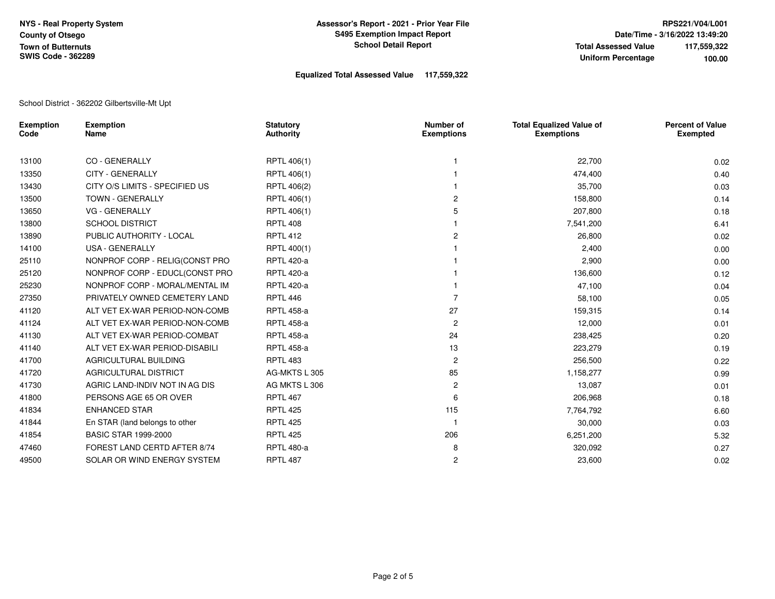### **Equalized Total Assessed Value 117,559,322**

School District - 362202 Gilbertsville-Mt Upt

| <b>Exemption</b><br>Code | <b>Exemption</b><br>Name       | <b>Statutory</b><br>Authority | Number of<br><b>Exemptions</b> | <b>Total Equalized Value of</b><br><b>Exemptions</b> | <b>Percent of Value</b><br><b>Exempted</b> |
|--------------------------|--------------------------------|-------------------------------|--------------------------------|------------------------------------------------------|--------------------------------------------|
| 13100                    | <b>CO - GENERALLY</b>          | RPTL 406(1)                   |                                | 22,700                                               | 0.02                                       |
| 13350                    | <b>CITY - GENERALLY</b>        | RPTL 406(1)                   |                                | 474,400                                              | 0.40                                       |
| 13430                    | CITY O/S LIMITS - SPECIFIED US | RPTL 406(2)                   |                                | 35,700                                               | 0.03                                       |
| 13500                    | <b>TOWN - GENERALLY</b>        | RPTL 406(1)                   |                                | 158,800                                              | 0.14                                       |
| 13650                    | <b>VG - GENERALLY</b>          | RPTL 406(1)                   | 5                              | 207,800                                              | 0.18                                       |
| 13800                    | <b>SCHOOL DISTRICT</b>         | <b>RPTL 408</b>               |                                | 7,541,200                                            | 6.41                                       |
| 13890                    | PUBLIC AUTHORITY - LOCAL       | <b>RPTL 412</b>               | 2                              | 26,800                                               | 0.02                                       |
| 14100                    | USA - GENERALLY                | RPTL 400(1)                   |                                | 2,400                                                | 0.00                                       |
| 25110                    | NONPROF CORP - RELIG(CONST PRO | <b>RPTL 420-a</b>             |                                | 2,900                                                | 0.00                                       |
| 25120                    | NONPROF CORP - EDUCL(CONST PRO | <b>RPTL 420-a</b>             |                                | 136,600                                              | 0.12                                       |
| 25230                    | NONPROF CORP - MORAL/MENTAL IM | <b>RPTL 420-a</b>             |                                | 47,100                                               | 0.04                                       |
| 27350                    | PRIVATELY OWNED CEMETERY LAND  | <b>RPTL 446</b>               |                                | 58,100                                               | 0.05                                       |
| 41120                    | ALT VET EX-WAR PERIOD-NON-COMB | <b>RPTL 458-a</b>             | 27                             | 159,315                                              | 0.14                                       |
| 41124                    | ALT VET EX-WAR PERIOD-NON-COMB | <b>RPTL 458-a</b>             | $\overline{c}$                 | 12,000                                               | 0.01                                       |
| 41130                    | ALT VET EX-WAR PERIOD-COMBAT   | <b>RPTL 458-a</b>             | 24                             | 238,425                                              | 0.20                                       |
| 41140                    | ALT VET EX-WAR PERIOD-DISABILI | <b>RPTL 458-a</b>             | 13                             | 223,279                                              | 0.19                                       |
| 41700                    | AGRICULTURAL BUILDING          | <b>RPTL 483</b>               | 2                              | 256,500                                              | 0.22                                       |
| 41720                    | AGRICULTURAL DISTRICT          | AG-MKTS L 305                 | 85                             | 1,158,277                                            | 0.99                                       |
| 41730                    | AGRIC LAND-INDIV NOT IN AG DIS | AG MKTS L 306                 | 2                              | 13,087                                               | 0.01                                       |
| 41800                    | PERSONS AGE 65 OR OVER         | <b>RPTL 467</b>               | 6                              | 206,968                                              | 0.18                                       |
| 41834                    | <b>ENHANCED STAR</b>           | <b>RPTL 425</b>               | 115                            | 7,764,792                                            | 6.60                                       |
| 41844                    | En STAR (land belongs to other | <b>RPTL 425</b>               |                                | 30,000                                               | 0.03                                       |
| 41854                    | <b>BASIC STAR 1999-2000</b>    | <b>RPTL 425</b>               | 206                            | 6,251,200                                            | 5.32                                       |
| 47460                    | FOREST LAND CERTD AFTER 8/74   | <b>RPTL 480-a</b>             | 8                              | 320,092                                              | 0.27                                       |
| 49500                    | SOLAR OR WIND ENERGY SYSTEM    | <b>RPTL 487</b>               | 2                              | 23,600                                               | 0.02                                       |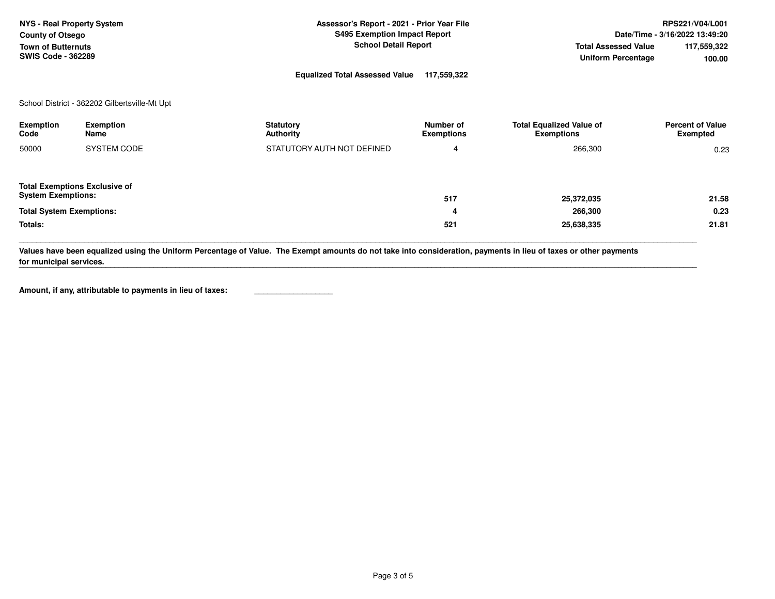| NYS - Real Property System | Assessor's Report - 2021 - Prior Year File |                             | <b>RPS221/V04/L001</b>         |
|----------------------------|--------------------------------------------|-----------------------------|--------------------------------|
| <b>County of Otsego</b>    | <b>S495 Exemption Impact Report</b>        |                             | Date/Time - 3/16/2022 13:49:20 |
| <b>Town of Butternuts</b>  | <b>School Detail Report</b>                | <b>Total Assessed Value</b> | 117,559,322                    |
| <b>SWIS Code - 362289</b>  |                                            | Uniform Percentage          | 100.00                         |
|                            | .<br>_ … …                                 |                             |                                |

**Equalized Total Assessed Value 117,559,322** 

School District - 362202 Gilbertsville-Mt Upt

| Exemption<br>Code                                                 | <b>Exemption</b><br>Name | <b>Statutory</b><br><b>Authority</b> | Number of<br><b>Exemptions</b> | <b>Total Equalized Value of</b><br><b>Exemptions</b> | <b>Percent of Value</b><br>Exempted |
|-------------------------------------------------------------------|--------------------------|--------------------------------------|--------------------------------|------------------------------------------------------|-------------------------------------|
| 50000                                                             | SYSTEM CODE              | STATUTORY AUTH NOT DEFINED           | 4                              | 266,300                                              | 0.23                                |
| <b>Total Exemptions Exclusive of</b><br><b>System Exemptions:</b> |                          |                                      | 517                            | 25,372,035                                           | 21.58                               |
| <b>Total System Exemptions:</b>                                   |                          |                                      | 4                              | 266,300                                              | 0.23                                |
| Totals:                                                           |                          |                                      | 521                            | 25,638,335                                           | 21.81                               |

**\_\_\_\_\_\_\_\_\_\_\_\_\_\_\_\_\_\_\_\_\_\_\_\_\_\_\_\_\_\_\_\_\_\_\_\_\_\_\_\_\_\_\_\_\_\_\_\_\_\_\_\_\_\_\_\_\_\_\_\_\_\_\_\_\_\_\_\_\_\_\_\_\_\_\_\_\_\_\_\_\_\_\_\_\_\_\_\_\_\_\_\_\_\_\_\_\_\_\_\_\_\_\_\_\_\_\_\_\_\_\_\_\_\_\_\_\_\_\_\_\_\_\_\_\_\_\_\_\_\_\_\_\_\_\_\_\_\_\_\_\_\_\_\_\_\_\_\_\_\_\_\_\_\_\_\_** 

**\_\_\_\_\_\_\_\_\_\_\_\_\_\_\_\_\_\_\_\_\_\_\_\_\_\_\_\_\_\_\_\_\_\_\_\_\_\_\_\_\_\_\_\_\_\_\_\_\_\_\_\_\_\_\_\_\_\_\_\_\_\_\_\_\_\_\_\_\_\_\_\_\_\_\_\_\_\_\_\_\_\_\_\_\_\_\_\_\_\_\_\_\_\_\_\_\_\_\_\_\_\_\_\_\_\_\_\_\_\_\_\_\_\_\_\_\_\_\_\_\_\_\_\_\_\_\_\_\_\_\_\_\_\_\_\_\_\_\_\_\_\_\_\_\_\_\_\_\_\_\_\_\_\_\_\_** 

**Values have been equalized using the Uniform Percentage of Value. The Exempt amounts do not take into consideration, payments in lieu of taxes or other payments for municipal services.**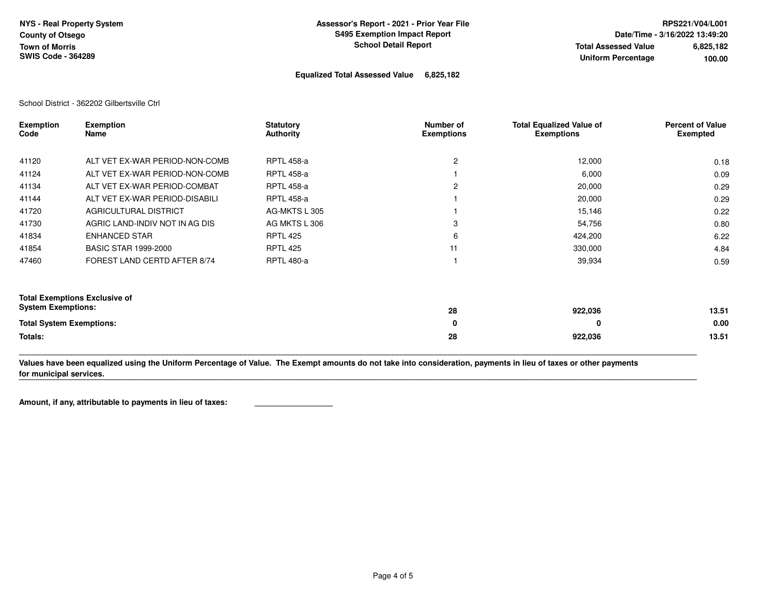**Equalized Total Assessed Value 6,825,182** 

School District - 362202 Gilbertsville Ctrl

| <b>Exemption</b><br>Code             | <b>Exemption</b><br>Name       | <b>Statutory</b><br>Authority | Number of<br><b>Exemptions</b> | <b>Total Equalized Value of</b><br><b>Exemptions</b> | <b>Percent of Value</b><br><b>Exempted</b> |
|--------------------------------------|--------------------------------|-------------------------------|--------------------------------|------------------------------------------------------|--------------------------------------------|
|                                      |                                |                               |                                |                                                      |                                            |
| 41120                                | ALT VET EX-WAR PERIOD-NON-COMB | <b>RPTL 458-a</b>             | 2                              | 12,000                                               | 0.18                                       |
| 41124                                | ALT VET EX-WAR PERIOD-NON-COMB | <b>RPTL 458-a</b>             |                                | 6,000                                                | 0.09                                       |
| 41134                                | ALT VET EX-WAR PERIOD-COMBAT   | <b>RPTL 458-a</b>             | 2                              | 20,000                                               | 0.29                                       |
| 41144                                | ALT VET EX-WAR PERIOD-DISABILI | <b>RPTL 458-a</b>             |                                | 20,000                                               | 0.29                                       |
| 41720                                | AGRICULTURAL DISTRICT          | AG-MKTS L 305                 |                                | 15,146                                               | 0.22                                       |
| 41730                                | AGRIC LAND-INDIV NOT IN AG DIS | AG MKTS L 306                 | 3                              | 54,756                                               | 0.80                                       |
| 41834                                | <b>ENHANCED STAR</b>           | <b>RPTL 425</b>               | 6                              | 424,200                                              | 6.22                                       |
| 41854                                | <b>BASIC STAR 1999-2000</b>    | <b>RPTL 425</b>               | 11                             | 330,000                                              | 4.84                                       |
| 47460                                | FOREST LAND CERTD AFTER 8/74   | <b>RPTL 480-a</b>             |                                | 39,934                                               | 0.59                                       |
| <b>Total Exemptions Exclusive of</b> |                                |                               |                                |                                                      |                                            |
| <b>System Exemptions:</b>            |                                |                               | 28                             | 922,036                                              | 13.51                                      |
| <b>Total System Exemptions:</b>      |                                |                               | 0                              | 0                                                    | 0.00                                       |
| Totals:                              |                                |                               | 28                             | 922,036                                              | 13.51                                      |

**Values have been equalized using the Uniform Percentage of Value. The Exempt amounts do not take into consideration, payments in lieu of taxes or other payments for municipal services.** 

**\_\_\_\_\_\_\_\_\_\_\_\_\_\_\_\_\_\_\_\_\_\_\_\_\_\_\_\_\_\_\_\_\_\_\_\_\_\_\_\_\_\_\_\_\_\_\_\_\_\_\_\_\_\_\_\_\_\_\_\_\_\_\_\_\_\_\_\_\_\_\_\_\_\_\_\_\_\_\_\_\_\_\_\_\_\_\_\_\_\_\_\_\_\_\_\_\_\_\_\_\_\_\_\_\_\_\_\_\_\_\_\_\_\_\_\_\_\_\_\_\_\_\_\_\_\_\_\_\_\_\_\_\_\_\_\_\_\_\_\_\_\_\_\_\_\_\_\_\_\_\_\_\_\_\_\_** 

**\_\_\_\_\_\_\_\_\_\_\_\_\_\_\_\_\_\_\_\_\_\_\_\_\_\_\_\_\_\_\_\_\_\_\_\_\_\_\_\_\_\_\_\_\_\_\_\_\_\_\_\_\_\_\_\_\_\_\_\_\_\_\_\_\_\_\_\_\_\_\_\_\_\_\_\_\_\_\_\_\_\_\_\_\_\_\_\_\_\_\_\_\_\_\_\_\_\_\_\_\_\_\_\_\_\_\_\_\_\_\_\_\_\_\_\_\_\_\_\_\_\_\_\_\_\_\_\_\_\_\_\_\_\_\_\_\_\_\_\_\_\_\_\_\_\_\_\_\_\_\_\_\_\_\_\_**